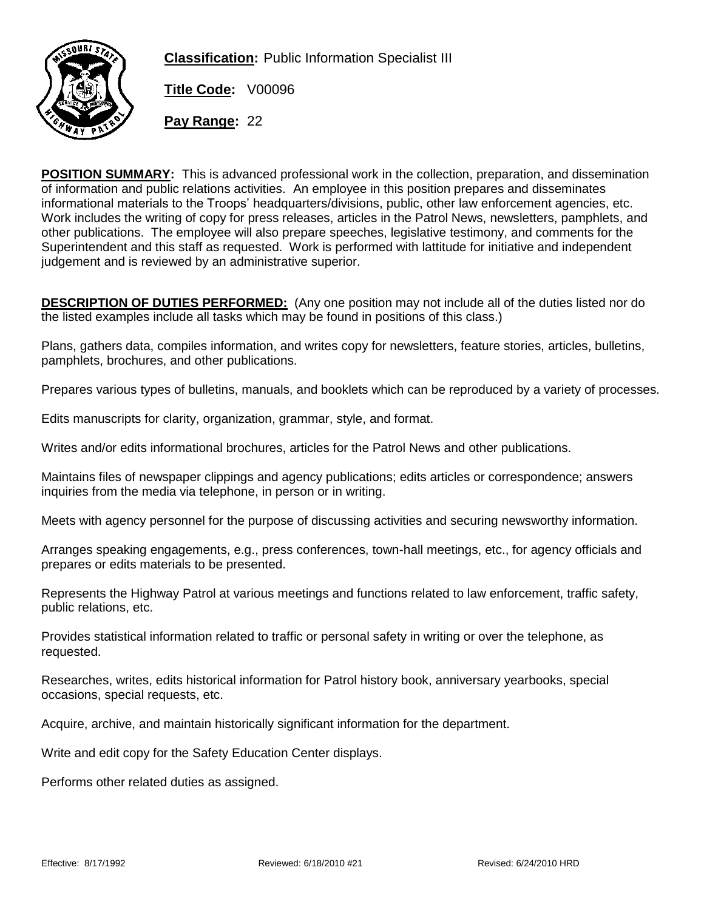

**Classification:** Public Information Specialist III

**Title Code:** V00096

**Pay Range:** 22

**POSITION SUMMARY:** This is advanced professional work in the collection, preparation, and dissemination of information and public relations activities. An employee in this position prepares and disseminates informational materials to the Troops' headquarters/divisions, public, other law enforcement agencies, etc. Work includes the writing of copy for press releases, articles in the Patrol News, newsletters, pamphlets, and other publications. The employee will also prepare speeches, legislative testimony, and comments for the Superintendent and this staff as requested. Work is performed with lattitude for initiative and independent judgement and is reviewed by an administrative superior.

**DESCRIPTION OF DUTIES PERFORMED:** (Any one position may not include all of the duties listed nor do the listed examples include all tasks which may be found in positions of this class.)

Plans, gathers data, compiles information, and writes copy for newsletters, feature stories, articles, bulletins, pamphlets, brochures, and other publications.

Prepares various types of bulletins, manuals, and booklets which can be reproduced by a variety of processes.

Edits manuscripts for clarity, organization, grammar, style, and format.

Writes and/or edits informational brochures, articles for the Patrol News and other publications.

Maintains files of newspaper clippings and agency publications; edits articles or correspondence; answers inquiries from the media via telephone, in person or in writing.

Meets with agency personnel for the purpose of discussing activities and securing newsworthy information.

Arranges speaking engagements, e.g., press conferences, town-hall meetings, etc., for agency officials and prepares or edits materials to be presented.

Represents the Highway Patrol at various meetings and functions related to law enforcement, traffic safety, public relations, etc.

Provides statistical information related to traffic or personal safety in writing or over the telephone, as requested.

Researches, writes, edits historical information for Patrol history book, anniversary yearbooks, special occasions, special requests, etc.

Acquire, archive, and maintain historically significant information for the department.

Write and edit copy for the Safety Education Center displays.

Performs other related duties as assigned.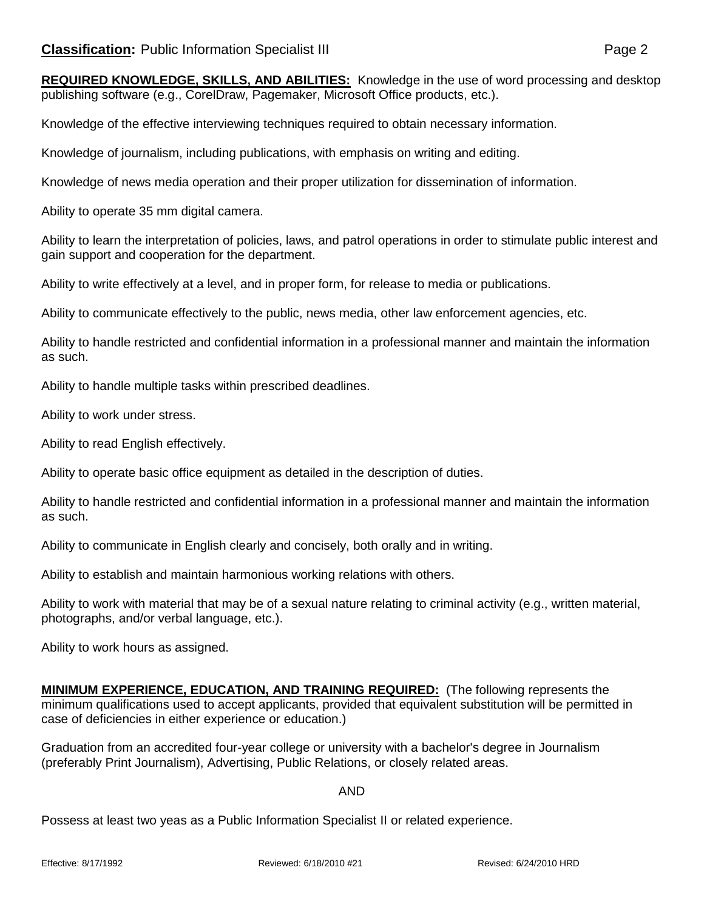**REQUIRED KNOWLEDGE, SKILLS, AND ABILITIES:** Knowledge in the use of word processing and desktop publishing software (e.g., CorelDraw, Pagemaker, Microsoft Office products, etc.).

Knowledge of the effective interviewing techniques required to obtain necessary information.

Knowledge of journalism, including publications, with emphasis on writing and editing.

Knowledge of news media operation and their proper utilization for dissemination of information.

Ability to operate 35 mm digital camera.

Ability to learn the interpretation of policies, laws, and patrol operations in order to stimulate public interest and gain support and cooperation for the department.

Ability to write effectively at a level, and in proper form, for release to media or publications.

Ability to communicate effectively to the public, news media, other law enforcement agencies, etc.

Ability to handle restricted and confidential information in a professional manner and maintain the information as such.

Ability to handle multiple tasks within prescribed deadlines.

Ability to work under stress.

Ability to read English effectively.

Ability to operate basic office equipment as detailed in the description of duties.

Ability to handle restricted and confidential information in a professional manner and maintain the information as such.

Ability to communicate in English clearly and concisely, both orally and in writing.

Ability to establish and maintain harmonious working relations with others.

Ability to work with material that may be of a sexual nature relating to criminal activity (e.g., written material, photographs, and/or verbal language, etc.).

Ability to work hours as assigned.

**MINIMUM EXPERIENCE, EDUCATION, AND TRAINING REQUIRED:** (The following represents the minimum qualifications used to accept applicants, provided that equivalent substitution will be permitted in case of deficiencies in either experience or education.)

Graduation from an accredited four-year college or university with a bachelor's degree in Journalism (preferably Print Journalism), Advertising, Public Relations, or closely related areas.

## AND

Possess at least two yeas as a Public Information Specialist II or related experience.